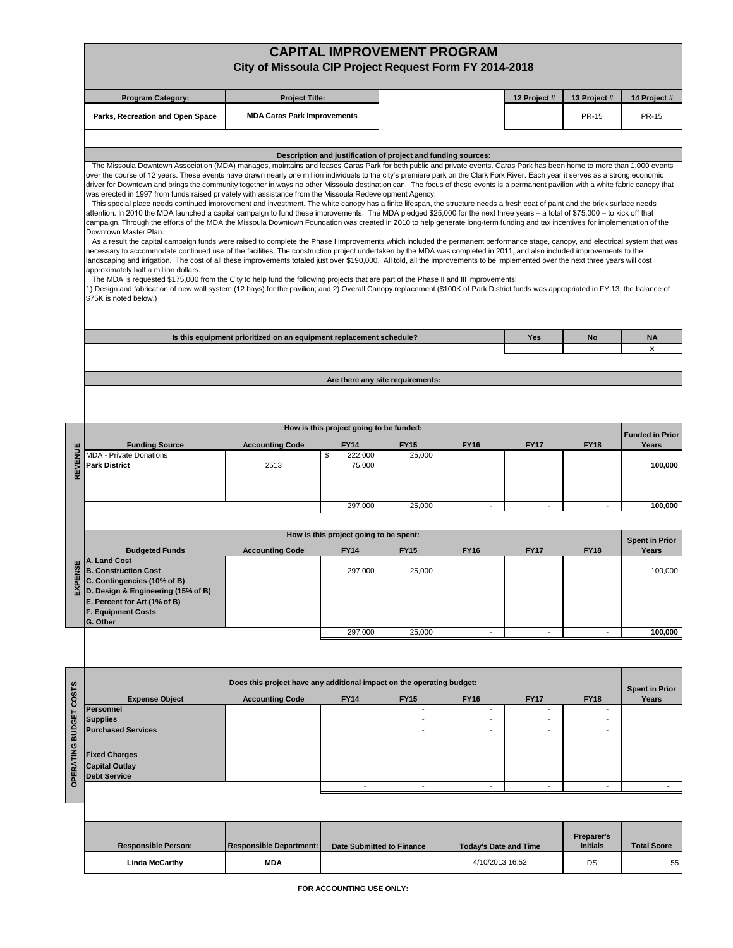|                        |                                                                                                                                                                                                                                                                                                                                                                                                                                                                                                                                                                                                                                                                                                                                                                                                                                                                                                                                                                                                                                                                                                                                                                                                                                                                                                                                                                                                                                                                                                                                                                                                                                                                                                                                                                                                                                                                                                                                                                                                                                                                                                                                                                                           | City of Missoula CIP Project Request Form FY 2014-2018                |                                                               |                                  | <b>CAPITAL IMPROVEMENT PROGRAM</b> |                          |                                      |                                |
|------------------------|-------------------------------------------------------------------------------------------------------------------------------------------------------------------------------------------------------------------------------------------------------------------------------------------------------------------------------------------------------------------------------------------------------------------------------------------------------------------------------------------------------------------------------------------------------------------------------------------------------------------------------------------------------------------------------------------------------------------------------------------------------------------------------------------------------------------------------------------------------------------------------------------------------------------------------------------------------------------------------------------------------------------------------------------------------------------------------------------------------------------------------------------------------------------------------------------------------------------------------------------------------------------------------------------------------------------------------------------------------------------------------------------------------------------------------------------------------------------------------------------------------------------------------------------------------------------------------------------------------------------------------------------------------------------------------------------------------------------------------------------------------------------------------------------------------------------------------------------------------------------------------------------------------------------------------------------------------------------------------------------------------------------------------------------------------------------------------------------------------------------------------------------------------------------------------------------|-----------------------------------------------------------------------|---------------------------------------------------------------|----------------------------------|------------------------------------|--------------------------|--------------------------------------|--------------------------------|
|                        | <b>Program Category:</b>                                                                                                                                                                                                                                                                                                                                                                                                                                                                                                                                                                                                                                                                                                                                                                                                                                                                                                                                                                                                                                                                                                                                                                                                                                                                                                                                                                                                                                                                                                                                                                                                                                                                                                                                                                                                                                                                                                                                                                                                                                                                                                                                                                  | <b>Project Title:</b>                                                 |                                                               |                                  |                                    | 12 Project#              | 13 Project #                         | 14 Project #                   |
|                        | Parks, Recreation and Open Space                                                                                                                                                                                                                                                                                                                                                                                                                                                                                                                                                                                                                                                                                                                                                                                                                                                                                                                                                                                                                                                                                                                                                                                                                                                                                                                                                                                                                                                                                                                                                                                                                                                                                                                                                                                                                                                                                                                                                                                                                                                                                                                                                          | <b>MDA Caras Park Improvements</b>                                    |                                                               |                                  |                                    |                          | <b>PR-15</b>                         | PR-15                          |
|                        |                                                                                                                                                                                                                                                                                                                                                                                                                                                                                                                                                                                                                                                                                                                                                                                                                                                                                                                                                                                                                                                                                                                                                                                                                                                                                                                                                                                                                                                                                                                                                                                                                                                                                                                                                                                                                                                                                                                                                                                                                                                                                                                                                                                           |                                                                       |                                                               |                                  |                                    |                          |                                      |                                |
|                        |                                                                                                                                                                                                                                                                                                                                                                                                                                                                                                                                                                                                                                                                                                                                                                                                                                                                                                                                                                                                                                                                                                                                                                                                                                                                                                                                                                                                                                                                                                                                                                                                                                                                                                                                                                                                                                                                                                                                                                                                                                                                                                                                                                                           |                                                                       | Description and justification of project and funding sources: |                                  |                                    |                          |                                      |                                |
|                        | The Missoula Downtown Association (MDA) manages, maintains and leases Caras Park for both public and private events. Caras Park has been home to more than 1,000 events<br>over the course of 12 years. These events have drawn nearly one million individuals to the city's premiere park on the Clark Fork River. Each year it serves as a strong economic<br>driver for Downtown and brings the community together in ways no other Missoula destination can. The focus of these events is a permanent pavilion with a white fabric canopy that<br>was erected in 1997 from funds raised privately with assistance from the Missoula Redevelopment Agency.<br>This special place needs continued improvement and investment. The white canopy has a finite lifespan, the structure needs a fresh coat of paint and the brick surface needs<br>attention. In 2010 the MDA launched a capital campaign to fund these improvements. The MDA pledged \$25,000 for the next three years - a total of \$75,000 - to kick off that<br>campaign. Through the efforts of the MDA the Missoula Downtown Foundation was created in 2010 to help generate long-term funding and tax incentives for implementation of the<br>Downtown Master Plan.<br>As a result the capital campaign funds were raised to complete the Phase I improvements which included the permanent performance stage, canopy, and electrical system that was<br>necessary to accommodate continued use of the facilities. The construction project undertaken by the MDA was completed in 2011, and also included improvements to the<br>landscaping and irrigation. The cost of all these improvements totaled just over \$190,000. All told, all the improvements to be implemented over the next three years will cost<br>approximately half a million dollars.<br>The MDA is requested \$175,000 from the City to help fund the following projects that are part of the Phase II and III improvements:<br>1) Design and fabrication of new wall system (12 bays) for the pavilion; and 2) Overall Canopy replacement (\$100K of Park District funds was appropriated in FY 13, the balance of<br>\$75K is noted below.) |                                                                       |                                                               |                                  |                                    |                          |                                      |                                |
|                        |                                                                                                                                                                                                                                                                                                                                                                                                                                                                                                                                                                                                                                                                                                                                                                                                                                                                                                                                                                                                                                                                                                                                                                                                                                                                                                                                                                                                                                                                                                                                                                                                                                                                                                                                                                                                                                                                                                                                                                                                                                                                                                                                                                                           | Is this equipment prioritized on an equipment replacement schedule?   |                                                               |                                  |                                    | Yes                      | No                                   | <b>NA</b>                      |
|                        |                                                                                                                                                                                                                                                                                                                                                                                                                                                                                                                                                                                                                                                                                                                                                                                                                                                                                                                                                                                                                                                                                                                                                                                                                                                                                                                                                                                                                                                                                                                                                                                                                                                                                                                                                                                                                                                                                                                                                                                                                                                                                                                                                                                           |                                                                       |                                                               |                                  |                                    |                          |                                      | $\pmb{\mathsf{x}}$             |
|                        |                                                                                                                                                                                                                                                                                                                                                                                                                                                                                                                                                                                                                                                                                                                                                                                                                                                                                                                                                                                                                                                                                                                                                                                                                                                                                                                                                                                                                                                                                                                                                                                                                                                                                                                                                                                                                                                                                                                                                                                                                                                                                                                                                                                           |                                                                       |                                                               |                                  |                                    |                          |                                      |                                |
|                        |                                                                                                                                                                                                                                                                                                                                                                                                                                                                                                                                                                                                                                                                                                                                                                                                                                                                                                                                                                                                                                                                                                                                                                                                                                                                                                                                                                                                                                                                                                                                                                                                                                                                                                                                                                                                                                                                                                                                                                                                                                                                                                                                                                                           |                                                                       |                                                               | Are there any site requirements: |                                    |                          |                                      |                                |
|                        |                                                                                                                                                                                                                                                                                                                                                                                                                                                                                                                                                                                                                                                                                                                                                                                                                                                                                                                                                                                                                                                                                                                                                                                                                                                                                                                                                                                                                                                                                                                                                                                                                                                                                                                                                                                                                                                                                                                                                                                                                                                                                                                                                                                           |                                                                       |                                                               |                                  |                                    |                          |                                      |                                |
|                        |                                                                                                                                                                                                                                                                                                                                                                                                                                                                                                                                                                                                                                                                                                                                                                                                                                                                                                                                                                                                                                                                                                                                                                                                                                                                                                                                                                                                                                                                                                                                                                                                                                                                                                                                                                                                                                                                                                                                                                                                                                                                                                                                                                                           |                                                                       | How is this project going to be funded:                       |                                  |                                    |                          |                                      | <b>Funded in Prior</b>         |
| REVENUE                | <b>Funding Source</b><br><b>MDA - Private Donations</b>                                                                                                                                                                                                                                                                                                                                                                                                                                                                                                                                                                                                                                                                                                                                                                                                                                                                                                                                                                                                                                                                                                                                                                                                                                                                                                                                                                                                                                                                                                                                                                                                                                                                                                                                                                                                                                                                                                                                                                                                                                                                                                                                   | <b>Accounting Code</b>                                                | <b>FY14</b><br>222,000<br>\$                                  | <b>FY15</b><br>25,000            | <b>FY16</b>                        | <b>FY17</b>              | <b>FY18</b>                          | Years                          |
|                        | <b>Park District</b>                                                                                                                                                                                                                                                                                                                                                                                                                                                                                                                                                                                                                                                                                                                                                                                                                                                                                                                                                                                                                                                                                                                                                                                                                                                                                                                                                                                                                                                                                                                                                                                                                                                                                                                                                                                                                                                                                                                                                                                                                                                                                                                                                                      | 2513                                                                  | 75,000                                                        |                                  |                                    |                          |                                      | 100,000                        |
|                        |                                                                                                                                                                                                                                                                                                                                                                                                                                                                                                                                                                                                                                                                                                                                                                                                                                                                                                                                                                                                                                                                                                                                                                                                                                                                                                                                                                                                                                                                                                                                                                                                                                                                                                                                                                                                                                                                                                                                                                                                                                                                                                                                                                                           |                                                                       | 297,000                                                       | 25,000                           | $\overline{\phantom{a}}$           |                          |                                      | 100,000                        |
|                        |                                                                                                                                                                                                                                                                                                                                                                                                                                                                                                                                                                                                                                                                                                                                                                                                                                                                                                                                                                                                                                                                                                                                                                                                                                                                                                                                                                                                                                                                                                                                                                                                                                                                                                                                                                                                                                                                                                                                                                                                                                                                                                                                                                                           |                                                                       | How is this project going to be spent:                        |                                  |                                    |                          |                                      |                                |
|                        | <b>Budgeted Funds</b>                                                                                                                                                                                                                                                                                                                                                                                                                                                                                                                                                                                                                                                                                                                                                                                                                                                                                                                                                                                                                                                                                                                                                                                                                                                                                                                                                                                                                                                                                                                                                                                                                                                                                                                                                                                                                                                                                                                                                                                                                                                                                                                                                                     | <b>Accounting Code</b>                                                | <b>FY14</b>                                                   | <b>FY15</b>                      | <b>FY16</b>                        | <b>FY17</b>              | <b>FY18</b>                          | <b>Spent in Prior</b><br>Years |
| g<br>EXPEI             | A. Land Cost<br><b>B. Construction Cost</b><br>C. Contingencies (10% of B)<br>D. Design & Engineering (15% of B)<br>E. Percent for Art (1% of B)<br><b>F. Equipment Costs</b><br>G. Other                                                                                                                                                                                                                                                                                                                                                                                                                                                                                                                                                                                                                                                                                                                                                                                                                                                                                                                                                                                                                                                                                                                                                                                                                                                                                                                                                                                                                                                                                                                                                                                                                                                                                                                                                                                                                                                                                                                                                                                                 |                                                                       | 297,000                                                       | 25,000                           |                                    |                          |                                      | 100,000                        |
|                        |                                                                                                                                                                                                                                                                                                                                                                                                                                                                                                                                                                                                                                                                                                                                                                                                                                                                                                                                                                                                                                                                                                                                                                                                                                                                                                                                                                                                                                                                                                                                                                                                                                                                                                                                                                                                                                                                                                                                                                                                                                                                                                                                                                                           |                                                                       | 297,000                                                       | 25,000                           | $\overline{\phantom{a}}$           | $\overline{\phantom{a}}$ | $\overline{\phantom{a}}$             | 100,000                        |
|                        |                                                                                                                                                                                                                                                                                                                                                                                                                                                                                                                                                                                                                                                                                                                                                                                                                                                                                                                                                                                                                                                                                                                                                                                                                                                                                                                                                                                                                                                                                                                                                                                                                                                                                                                                                                                                                                                                                                                                                                                                                                                                                                                                                                                           |                                                                       |                                                               |                                  |                                    |                          |                                      |                                |
|                        |                                                                                                                                                                                                                                                                                                                                                                                                                                                                                                                                                                                                                                                                                                                                                                                                                                                                                                                                                                                                                                                                                                                                                                                                                                                                                                                                                                                                                                                                                                                                                                                                                                                                                                                                                                                                                                                                                                                                                                                                                                                                                                                                                                                           | Does this project have any additional impact on the operating budget: |                                                               |                                  |                                    |                          |                                      | <b>Spent in Prior</b>          |
|                        | <b>Expense Object</b><br><b>Personnel</b>                                                                                                                                                                                                                                                                                                                                                                                                                                                                                                                                                                                                                                                                                                                                                                                                                                                                                                                                                                                                                                                                                                                                                                                                                                                                                                                                                                                                                                                                                                                                                                                                                                                                                                                                                                                                                                                                                                                                                                                                                                                                                                                                                 | <b>Accounting Code</b>                                                | <b>FY14</b>                                                   | <b>FY15</b><br>$\blacksquare$    | <b>FY16</b>                        | <b>FY17</b>              | <b>FY18</b>                          | Years                          |
| OPERATING BUDGET COSTS | <b>Supplies</b><br><b>Purchased Services</b><br><b>Fixed Charges</b><br><b>Capital Outlay</b>                                                                                                                                                                                                                                                                                                                                                                                                                                                                                                                                                                                                                                                                                                                                                                                                                                                                                                                                                                                                                                                                                                                                                                                                                                                                                                                                                                                                                                                                                                                                                                                                                                                                                                                                                                                                                                                                                                                                                                                                                                                                                             |                                                                       |                                                               |                                  |                                    |                          |                                      |                                |
|                        | <b>Debt Service</b>                                                                                                                                                                                                                                                                                                                                                                                                                                                                                                                                                                                                                                                                                                                                                                                                                                                                                                                                                                                                                                                                                                                                                                                                                                                                                                                                                                                                                                                                                                                                                                                                                                                                                                                                                                                                                                                                                                                                                                                                                                                                                                                                                                       |                                                                       | $\overline{\phantom{a}}$                                      | $\overline{\phantom{a}}$         | $\overline{\phantom{a}}$           | $\blacksquare$           | $\overline{\phantom{a}}$             | $\blacksquare$                 |
|                        |                                                                                                                                                                                                                                                                                                                                                                                                                                                                                                                                                                                                                                                                                                                                                                                                                                                                                                                                                                                                                                                                                                                                                                                                                                                                                                                                                                                                                                                                                                                                                                                                                                                                                                                                                                                                                                                                                                                                                                                                                                                                                                                                                                                           |                                                                       |                                                               |                                  |                                    |                          |                                      |                                |
|                        | <b>Responsible Person:</b>                                                                                                                                                                                                                                                                                                                                                                                                                                                                                                                                                                                                                                                                                                                                                                                                                                                                                                                                                                                                                                                                                                                                                                                                                                                                                                                                                                                                                                                                                                                                                                                                                                                                                                                                                                                                                                                                                                                                                                                                                                                                                                                                                                | <b>Responsible Department:</b>                                        | <b>Date Submitted to Finance</b>                              |                                  | <b>Today's Date and Time</b>       |                          | <b>Preparer's</b><br><b>Initials</b> | <b>Total Score</b>             |
|                        | <b>Linda McCarthy</b>                                                                                                                                                                                                                                                                                                                                                                                                                                                                                                                                                                                                                                                                                                                                                                                                                                                                                                                                                                                                                                                                                                                                                                                                                                                                                                                                                                                                                                                                                                                                                                                                                                                                                                                                                                                                                                                                                                                                                                                                                                                                                                                                                                     | <b>MDA</b>                                                            |                                                               |                                  | 4/10/2013 16:52                    |                          | DS                                   | 55                             |

|  |  |  |  |  | FOR ACCOUNTING USE ONLY: |
|--|--|--|--|--|--------------------------|
|--|--|--|--|--|--------------------------|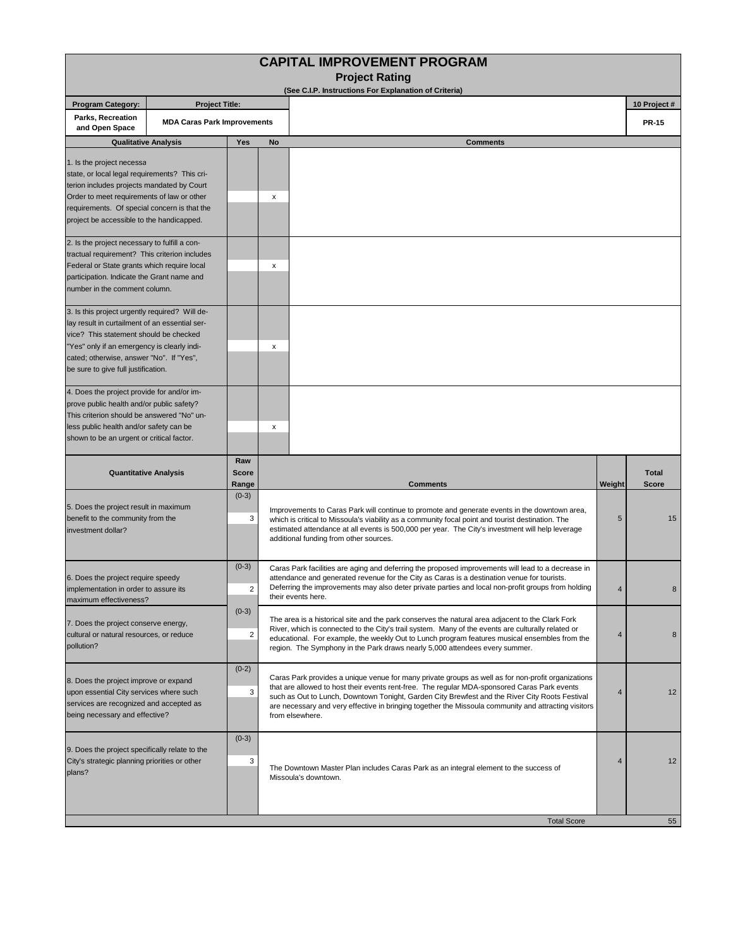|                                                                                                                                                                                                                                                                              |                                    |                              |    | <b>CAPITAL IMPROVEMENT PROGRAM</b>                                                                                                                                                                                                                                                                                                                                                                                              |                |                              |
|------------------------------------------------------------------------------------------------------------------------------------------------------------------------------------------------------------------------------------------------------------------------------|------------------------------------|------------------------------|----|---------------------------------------------------------------------------------------------------------------------------------------------------------------------------------------------------------------------------------------------------------------------------------------------------------------------------------------------------------------------------------------------------------------------------------|----------------|------------------------------|
|                                                                                                                                                                                                                                                                              |                                    |                              |    | <b>Project Rating</b><br>(See C.I.P. Instructions For Explanation of Criteria)                                                                                                                                                                                                                                                                                                                                                  |                |                              |
| <b>Program Category:</b>                                                                                                                                                                                                                                                     | <b>Project Title:</b>              |                              |    |                                                                                                                                                                                                                                                                                                                                                                                                                                 |                | 10 Project #                 |
| Parks, Recreation<br>and Open Space                                                                                                                                                                                                                                          | <b>MDA Caras Park Improvements</b> |                              |    |                                                                                                                                                                                                                                                                                                                                                                                                                                 |                | <b>PR-15</b>                 |
|                                                                                                                                                                                                                                                                              | <b>Qualitative Analysis</b>        | Yes                          | No | <b>Comments</b>                                                                                                                                                                                                                                                                                                                                                                                                                 |                |                              |
| 1. Is the project necessa<br>state, or local legal requirements? This cri-<br>terion includes projects mandated by Court<br>Order to meet requirements of law or other<br>requirements. Of special concern is that the<br>project be accessible to the handicapped.          |                                    |                              | х  |                                                                                                                                                                                                                                                                                                                                                                                                                                 |                |                              |
| 2. Is the project necessary to fulfill a con-<br>tractual requirement? This criterion includes<br>Federal or State grants which require local<br>participation. Indicate the Grant name and<br>number in the comment column.                                                 |                                    |                              | x  |                                                                                                                                                                                                                                                                                                                                                                                                                                 |                |                              |
| 3. Is this project urgently required? Will de-<br>lay result in curtailment of an essential ser-<br>vice? This statement should be checked<br>"Yes" only if an emergency is clearly indi-<br>cated; otherwise, answer "No". If "Yes",<br>be sure to give full justification. |                                    |                              | х  |                                                                                                                                                                                                                                                                                                                                                                                                                                 |                |                              |
| 4. Does the project provide for and/or im-<br>prove public health and/or public safety?<br>This criterion should be answered "No" un-<br>less public health and/or safety can be<br>shown to be an urgent or critical factor.                                                |                                    |                              | x  |                                                                                                                                                                                                                                                                                                                                                                                                                                 |                |                              |
| <b>Quantitative Analysis</b>                                                                                                                                                                                                                                                 |                                    | Raw<br><b>Score</b><br>Range |    | <b>Comments</b>                                                                                                                                                                                                                                                                                                                                                                                                                 | Weight         | <b>Total</b><br><b>Score</b> |
| 5. Does the project result in maximum<br>benefit to the community from the<br>investment dollar?                                                                                                                                                                             |                                    | $(0-3)$<br>3                 |    | Improvements to Caras Park will continue to promote and generate events in the downtown area,<br>which is critical to Missoula's viability as a community focal point and tourist destination. The<br>estimated attendance at all events is 500,000 per year. The City's investment will help leverage<br>additional funding from other sources.                                                                                | 5              | 15                           |
| 6. Does the project require speedy<br>implementation in order to assure its<br>maximum effectiveness?                                                                                                                                                                        |                                    | $(0-3)$<br>$\overline{2}$    |    | Caras Park facilities are aging and deferring the proposed improvements will lead to a decrease in<br>attendance and generated revenue for the City as Caras is a destination venue for tourists.<br>Deferring the improvements may also deter private parties and local non-profit groups from holding<br>their events here.                                                                                                   | $\overline{4}$ |                              |
| 7. Does the project conserve energy,<br>cultural or natural resources, or reduce<br>pollution?                                                                                                                                                                               |                                    | $(0-3)$<br>2                 |    | The area is a historical site and the park conserves the natural area adjacent to the Clark Fork<br>River, which is connected to the City's trail system. Many of the events are culturally related or<br>educational. For example, the weekly Out to Lunch program features musical ensembles from the<br>region. The Symphony in the Park draws nearly 5,000 attendees every summer.                                          | 4              | 8                            |
| 8. Does the project improve or expand<br>upon essential City services where such<br>services are recognized and accepted as<br>being necessary and effective?                                                                                                                |                                    | $(0-2)$<br>3                 |    | Caras Park provides a unique venue for many private groups as well as for non-profit organizations<br>that are allowed to host their events rent-free. The regular MDA-sponsored Caras Park events<br>such as Out to Lunch, Downtown Tonight, Garden City Brewfest and the River City Roots Festival<br>are necessary and very effective in bringing together the Missoula community and attracting visitors<br>from elsewhere. | 4              | 12                           |
| 9. Does the project specifically relate to the<br>City's strategic planning priorities or other<br>plans?                                                                                                                                                                    |                                    | $(0-3)$<br>3                 |    | The Downtown Master Plan includes Caras Park as an integral element to the success of<br>Missoula's downtown.                                                                                                                                                                                                                                                                                                                   | $\overline{4}$ | 12                           |
|                                                                                                                                                                                                                                                                              |                                    |                              |    | <b>Total Score</b>                                                                                                                                                                                                                                                                                                                                                                                                              |                | 55                           |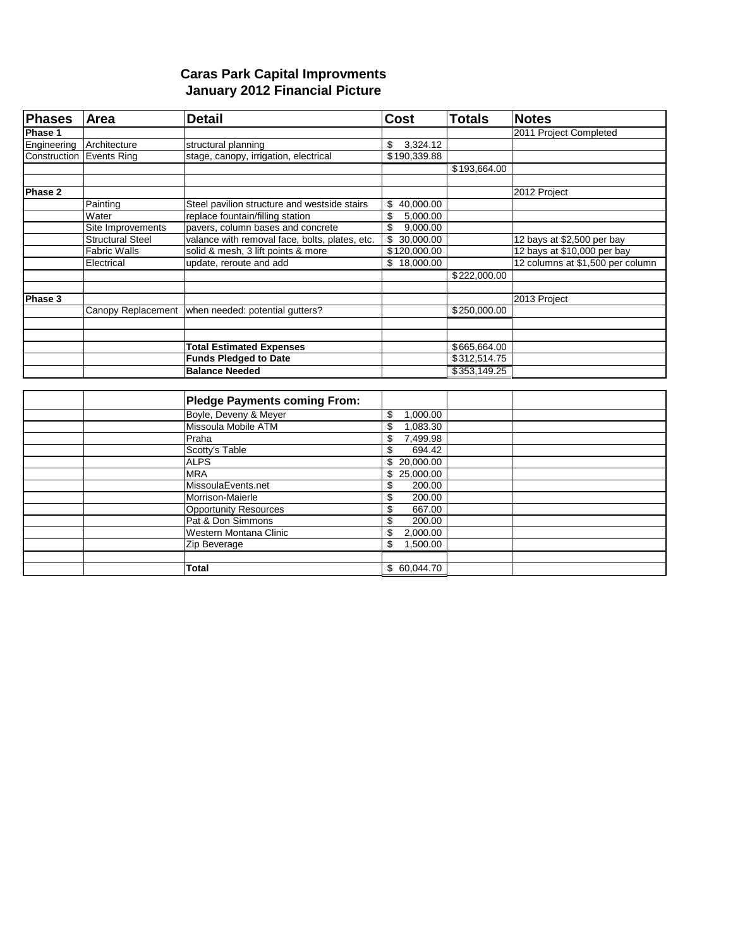## **Caras Park Capital Improvments January 2012 Financial Picture**

| <b>Phases</b> | Area                            | <b>Detail</b>                                  | <b>Cost</b>                                | <b>Totals</b> | <b>Notes</b>                     |
|---------------|---------------------------------|------------------------------------------------|--------------------------------------------|---------------|----------------------------------|
| Phase 1       |                                 |                                                |                                            |               | 2011 Project Completed           |
| Engineering   | Architecture                    | structural planning                            | 3,324.12<br>\$                             |               |                                  |
|               | <b>Construction Events Ring</b> | stage, canopy, irrigation, electrical          | \$190,339.88                               |               |                                  |
|               |                                 |                                                |                                            | \$193,664.00  |                                  |
|               |                                 |                                                |                                            |               |                                  |
| Phase 2       |                                 |                                                |                                            |               | 2012 Project                     |
|               | Painting                        | Steel pavilion structure and westside stairs   | \$40,000.00                                |               |                                  |
|               | Water                           | replace fountain/filling station               | \$<br>5,000.00                             |               |                                  |
|               | Site Improvements               | pavers, column bases and concrete              | \$<br>9,000.00                             |               |                                  |
|               | <b>Structural Steel</b>         | valance with removal face, bolts, plates, etc. | $\overline{\mathbf{s}}$<br>30,000.00       |               | 12 bays at \$2,500 per bay       |
|               | <b>Fabric Walls</b>             | solid & mesh, 3 lift points & more             | \$120,000.00                               |               | 12 bays at \$10,000 per bay      |
|               | Electrical                      | update, reroute and add                        | \$18,000.00                                |               | 12 columns at \$1,500 per column |
|               |                                 |                                                |                                            | \$222,000.00  |                                  |
|               |                                 |                                                |                                            |               |                                  |
| Phase 3       |                                 |                                                |                                            |               | 2013 Project                     |
|               | Canopy Replacement              | when needed: potential qutters?                |                                            | \$250,000.00  |                                  |
|               |                                 |                                                |                                            |               |                                  |
|               |                                 |                                                |                                            |               |                                  |
|               |                                 | <b>Total Estimated Expenses</b>                |                                            | \$665,664.00  |                                  |
|               |                                 | <b>Funds Pledged to Date</b>                   |                                            | \$312,514.75  |                                  |
|               |                                 | <b>Balance Needed</b>                          |                                            | \$353,149.25  |                                  |
|               |                                 |                                                |                                            |               |                                  |
|               |                                 | <b>Pledge Payments coming From:</b>            |                                            |               |                                  |
|               |                                 | Boyle, Deveny & Meyer                          | \$<br>1,000.00                             |               |                                  |
|               |                                 | Missoula Mobile ATM                            | $\overline{\mathcal{S}}$<br>1.083.30       |               |                                  |
|               |                                 | Praha                                          | \$<br>7,499.98                             |               |                                  |
|               |                                 | Scotty's Table                                 | \$<br>694.42                               |               |                                  |
|               |                                 | <b>ALPS</b>                                    | \$20,000.00                                |               |                                  |
|               |                                 | <b>MRA</b>                                     | \$<br>25,000.00                            |               |                                  |
|               |                                 | MissoulaEvents.net                             | \$<br>200.00                               |               |                                  |
|               |                                 | Morrison-Maierle                               | \$<br>200.00                               |               |                                  |
|               |                                 | <b>Opportunity Resources</b>                   | $\overline{\boldsymbol{\theta}}$<br>667.00 |               |                                  |
|               |                                 | Pat & Don Simmons                              | \$<br>200.00                               |               |                                  |
|               |                                 | Western Montana Clinic                         | \$<br>2,000.00                             |               |                                  |
|               |                                 | Zip Beverage                                   | $\overline{\mathcal{S}}$<br>1,500.00       |               |                                  |
|               |                                 |                                                |                                            |               |                                  |
|               |                                 | Total                                          | \$60,044.70                                |               |                                  |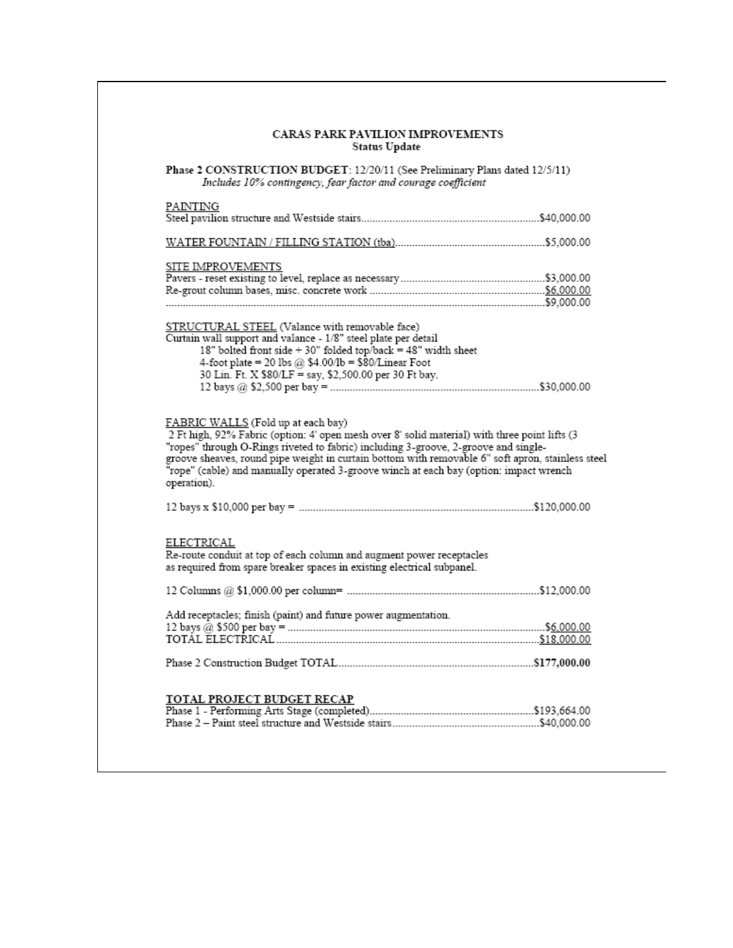| <b>CARAS PARK PAVILION IMPROVEMENTS</b><br>Status Update                                                                                                                                                                   |  |
|----------------------------------------------------------------------------------------------------------------------------------------------------------------------------------------------------------------------------|--|
| Phase 2 CONSTRUCTION BUDGET: 12/20/11 (See Preliminary Plans dated 12/5/11)<br>Includes 10% contingency, fear factor and courage coefficient                                                                               |  |
| PAINTING                                                                                                                                                                                                                   |  |
|                                                                                                                                                                                                                            |  |
| SITE IMPROVEMENTS                                                                                                                                                                                                          |  |
|                                                                                                                                                                                                                            |  |
|                                                                                                                                                                                                                            |  |
| STRUCTURAL STEEL (Valance with removable face)                                                                                                                                                                             |  |
| Curtain wall support and valance - 1/8" steel plate per detail                                                                                                                                                             |  |
| 18" bolted front side + 30" folded top/back = 48" width sheet                                                                                                                                                              |  |
| 4-foot plate = 20 lbs @ $$4.00/lb = $80/Linear$ Foot                                                                                                                                                                       |  |
| 30 Lin. Ft. X \$80/LF = say, \$2,500.00 per 30 Ft bay.                                                                                                                                                                     |  |
|                                                                                                                                                                                                                            |  |
| FABRIC WALLS (Fold up at each bay)<br>2 Ft high, 92% Fabric (option: 4' open mesh over 8' solid material) with three point lifts (3<br>"ropes" through O-Rings riveted to fabric) including 3-groove, 2-groove and single- |  |
| groove sheaves, round pipe weight in curtain bottom with removable 6" soft apron, stainless steel<br>"rope" (cable) and manually operated 3-groove winch at each bay (option: impact wrench<br>operation).                 |  |
|                                                                                                                                                                                                                            |  |
| ELECTRICAL<br>Re-route conduit at top of each column and augment power receptacles<br>as required from spare breaker spaces in existing electrical subpanel.                                                               |  |
|                                                                                                                                                                                                                            |  |
| Add receptacles; finish (paint) and future power augmentation.                                                                                                                                                             |  |
|                                                                                                                                                                                                                            |  |
|                                                                                                                                                                                                                            |  |
|                                                                                                                                                                                                                            |  |
| TOTAL PROJECT BUDGET RECAP                                                                                                                                                                                                 |  |
|                                                                                                                                                                                                                            |  |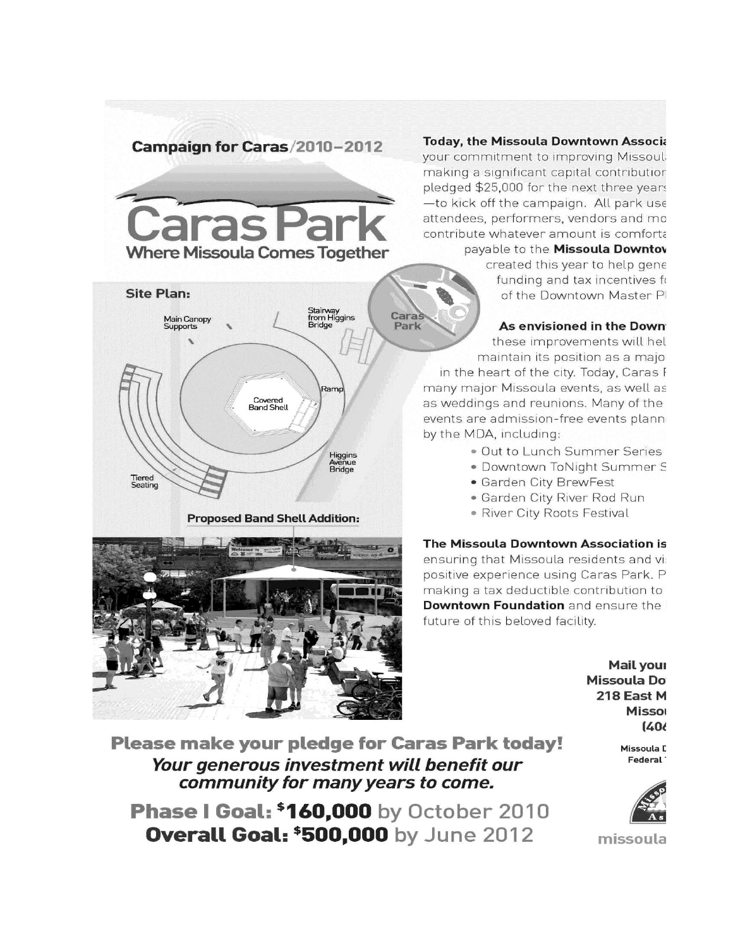# Campaign for Caras/2010-2012





**Proposed Band Shell Addition:** 



## **Today, the Missoula Downtown Associa**

your commitment to improving Missoul: making a significant capital contributior pledged \$25,000 for the next three years -to kick off the campaign. All park use attendees, performers, vendors and mo contribute whatever amount is comforta payable to the Missoula Downtov

created this year to help gene

funding and tax incentives fo of the Downtown Master PI

## As envisioned in the Down

these improvements will hel maintain its position as a major

in the heart of the city. Today, Caras F many major Missoula events, as well as as weddings and reunions. Many of the events are admission-free events plann by the MDA, including:

- . Out to Lunch Summer Series
- · Downtown ToNight Summer S
- · Garden City BrewFest
- · Garden City River Rod Run
- · River City Roots Festival

### The Missoula Downtown Association is

ensuring that Missoula residents and vi: positive experience using Caras Park. P making a tax deductible contribution to Downtown Foundation and ensure the future of this beloved facility.

> Mail your **Missoula Do** 218 East M **Missor**  $(406)$

> > Missoula C Federal<sup>-</sup>



missoula

**Please make your pledge for Caras Park today!** Your generous investment will benefit our community for many years to come.

**Phase | Goal: \$160,000** by October 2010 **Overall Goal: \$500,000 by June 2012**